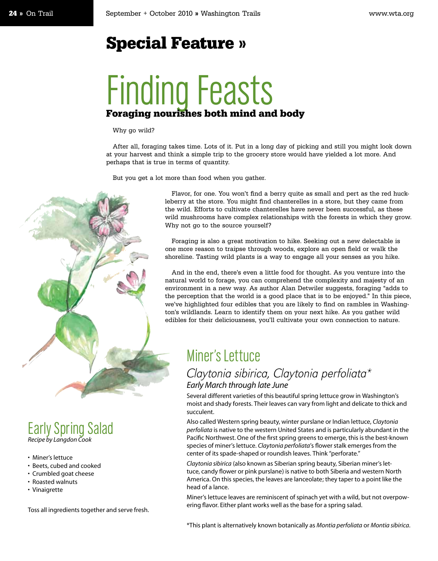## Special Feature »

# Finding Feasts Foraging nourishes both mind and body

#### Why go wild?

After all, foraging takes time. Lots of it. Put in a long day of picking and still you might look down at your harvest and think a simple trip to the grocery store would have yielded a lot more. And perhaps that is true in terms of quantity.

But you get a lot more than food when you gather.



Early Spring Salad *Recipe by Langdon Cook* 

- Miner's lettuce
- Beets, cubed and cooked
- Crumbled goat cheese
- Roasted walnuts
- Vinaigrette

Toss all ingredients together and serve fresh.

Flavor, for one. You won't find a berry quite as small and pert as the red huckleberry at the store. You might find chanterelles in a store, but they came from the wild. Efforts to cultivate chanterelles have never been successful, as these wild mushrooms have complex relationships with the forests in which they grow. Why not go to the source yourself?

Foraging is also a great motivation to hike. Seeking out a new delectable is one more reason to traipse through woods, explore an open field or walk the shoreline. Tasting wild plants is a way to engage all your senses as you hike.

And in the end, there's even a little food for thought. As you venture into the natural world to forage, you can comprehend the complexity and majesty of an environment in a new way. As author Alan Detwiler suggests, foraging "adds to the perception that the world is a good place that is to be enjoyed." In this piece, we've highlighted four edibles that you are likely to find on rambles in Washington's wildlands. Learn to identify them on your next hike. As you gather wild edibles for their deliciousness, you'll cultivate your own connection to nature.

## Miner's Lettuce

### Claytonia sibirica, Claytonia perfoliata\* *Early March through late June*

Several different varieties of this beautiful spring lettuce grow in Washington's moist and shady forests. Their leaves can vary from light and delicate to thick and succulent.

Also called Western spring beauty, winter purslane or Indian lettuce, *Claytonia perfoliata* is native to the western United States and is particularly abundant in the Pacific Northwest. One of the first spring greens to emerge, this is the best-known species of miner's lettuce. *Claytonia perfoliata*'s flower stalk emerges from the center of its spade-shaped or roundish leaves. Think "perforate."

*Claytonia sibirica* (also known as Siberian spring beauty, Siberian miner's lettuce, candy flower or pink purslane) is native to both Siberia and western North America. On this species, the leaves are lanceolate; they taper to a point like the head of a lance.

Miner's lettuce leaves are reminiscent of spinach yet with a wild, but not overpowering flavor. Either plant works well as the base for a spring salad.

\*This plant is alternatively known botanically as *Montia perfoliata* or *Montia sibirica*.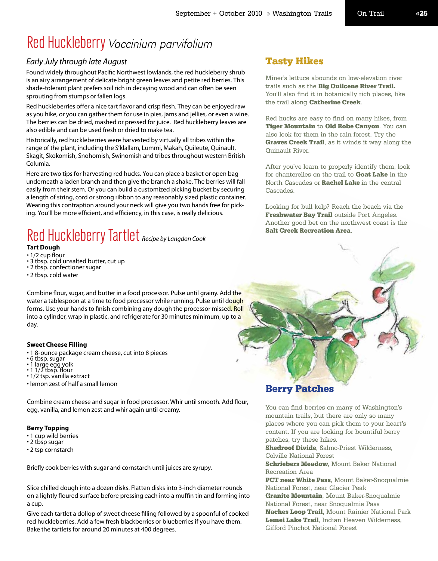## Red Huckleberry Vaccinium parvifolium

### *Early July through late August*

Found widely throughout Pacific Northwest lowlands, the red huckleberry shrub is an airy arrangement of delicate bright green leaves and petite red berries. This shade-tolerant plant prefers soil rich in decaying wood and can often be seen sprouting from stumps or fallen logs.

Red huckleberries offer a nice tart flavor and crisp flesh. They can be enjoyed raw as you hike, or you can gather them for use in pies, jams and jellies, or even a wine. The berries can be dried, mashed or pressed for juice. Red huckleberry leaves are also edible and can be used fresh or dried to make tea.

Historically, red huckleberries were harvested by virtually all tribes within the range of the plant, including the S'klallam, Lummi, Makah, Quileute, Quinault, Skagit, Skokomish, Snohomish, Swinomish and tribes throughout western British Columia.

Here are two tips for harvesting red hucks. You can place a basket or open bag underneath a laden branch and then give the branch a shake. The berries will fall easily from their stem. Or you can build a customized picking bucket by securing a length of string, cord or strong ribbon to any reasonably sized plastic container. Wearing this contraption around your neck will give you two hands free for picking. You'll be more efficient, and efficiency, in this case, is really delicious.

# Red Huckleberry Tartlet *Recipe by Langdon Cook*

### **Tart Dough**

- 1/2 cup flour
- 3 tbsp. cold unsalted butter, cut up • 2 tbsp. confectioner sugar
- 
- 2 tbsp. cold water

Combine flour, sugar, and butter in a food processor. Pulse until grainy. Add the water a tablespoon at a time to food processor while running. Pulse until dough forms. Use your hands to finish combining any dough the processor missed. Roll into a cylinder, wrap in plastic, and refrigerate for 30 minutes minimum, up to a day.

#### **Sweet Cheese Filling**

- 1 8-ounce package cream cheese, cut into 8 pieces
- $\cdot$  6 tbsp. sugar
- 1 large egg yolk • 1 1/2 tbsp. flour
- 1/2 tsp. vanilla extract
- lemon zest of half a small lemon

Combine cream cheese and sugar in food processor. Whir until smooth. Add flour, egg, vanilla, and lemon zest and whir again until creamy.

#### **Berry Topping**

- 1 cup wild berries
- 2 tbsp sugar
- 2 tsp cornstarch

Briefly cook berries with sugar and cornstarch until juices are syrupy.

Slice chilled dough into a dozen disks. Flatten disks into 3-inch diameter rounds on a lightly floured surface before pressing each into a muffin tin and forming into a cup.

Give each tartlet a dollop of sweet cheese filling followed by a spoonful of cooked red huckleberries. Add a few fresh blackberries or blueberries if you have them. Bake the tartlets for around 20 minutes at 400 degrees.

### Tasty Hikes

Miner's lettuce abounds on low-elevation river trails such as the **Big Quilcene River Trail.** You'll also find it in botanically rich places, like the trail along Catherine Creek.

Red hucks are easy to find on many hikes, from Tiger Mountain to Old Robe Canyon. You can also look for them in the rain forest. Try the Graves Creek Trail, as it winds it way along the Quinault River.

After you've learn to properly identify them, look for chanterelles on the trail to **Goat Lake** in the North Cascades or **Rachel Lake** in the central Cascades.

Looking for bull kelp? Reach the beach via the Freshwater Bay Trail outside Port Angeles. Another good bet on the northwest coast is the Salt Creek Recreation Area.



### Berry Patches

You can find berries on many of Washington's mountain trails, but there are only so many places where you can pick them to your heart's content. If you are looking for bountiful berry patches, try these hikes.

Shedroof Divide, Salmo-Priest Wilderness, Colville National Forest

**Schriebers Meadow**, Mount Baker National Recreation Area

PCT near White Pass, Mount Baker-Snoqualmie National Forest, near Glacier Peak **Granite Mountain, Mount Baker-Snoqualmie** National Forest, near Snoqualmie Pass Naches Loop Trail, Mount Rainier National Park Lemei Lake Trail, Indian Heaven Wilderness, Gifford Pinchot National Forest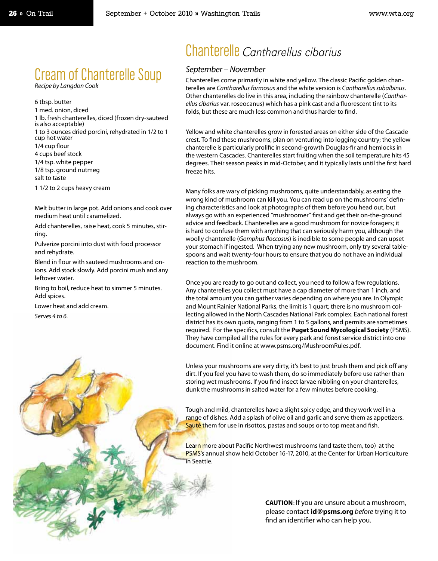## Cream of Chanterelle Soup

*Recipe by Langdon Cook*

6 tbsp. butter 1 med. onion, diced 1 lb. fresh chanterelles, diced (frozen dry-sauteed is also acceptable) 1 to 3 ounces dried porcini, rehydrated in 1/2 to 1 cup hot water 1/4 cup flour 4 cups beef stock 1/4 tsp. white pepper 1/8 tsp. ground nutmeg salt to taste

1 1/2 to 2 cups heavy cream

Melt butter in large pot. Add onions and cook over medium heat until caramelized.

Add chanterelles, raise heat, cook 5 minutes, stirring.

Pulverize porcini into dust with food processor and rehydrate.

Blend in flour with sauteed mushrooms and onions. Add stock slowly. Add porcini mush and any leftover water.

Bring to boil, reduce heat to simmer 5 minutes. Add spices.

Lower heat and add cream.

*Serves 4 to 6.*

## Chanterelle Cantharellus cibarius

#### *September – November*

Chanterelles come primarily in white and yellow. The classic Pacific golden chanterelles are *Cantharellus formosus* and the white version is *Cantharellus subalbinus*. Other chanterelles do live in this area, including the rainbow chanterelle (*Cantharellus cibarius* var. roseocanus) which has a pink cast and a fluorescent tint to its folds, but these are much less common and thus harder to find.

Yellow and white chanterelles grow in forested areas on either side of the Cascade crest. To find these mushrooms, plan on venturing into logging country; the yellow chanterelle is particularly prolific in second-growth Douglas-fir and hemlocks in the western Cascades. Chanterelles start fruiting when the soil temperature hits 45 degrees. Their season peaks in mid-October, and it typically lasts until the first hard freeze hits.

Many folks are wary of picking mushrooms, quite understandably, as eating the wrong kind of mushroom can kill you. You can read up on the mushrooms' defining characteristics and look at photographs of them before you head out, but always go with an experienced "mushroomer" first and get their on-the-ground advice and feedback. Chanterelles are a good mushroom for novice foragers; it is hard to confuse them with anything that can seriously harm you, although the woolly chanterelle (*Gomphus floccosus*) is inedible to some people and can upset your stomach if ingested. When trying any new mushroom, only try several tablespoons and wait twenty-four hours to ensure that you do not have an individual reaction to the mushroom.

Once you are ready to go out and collect, you need to follow a few regulations. Any chanterelles you collect must have a cap diameter of more than 1 inch, and the total amount you can gather varies depending on where you are. In Olympic and Mount Rainier National Parks, the limit is 1 quart; there is no mushroom collecting allowed in the North Cascades National Park complex. Each national forest district has its own quota, ranging from 1 to 5 gallons, and permits are sometimes required. For the specifics, consult the **Puget Sound Mycological Society** (PSMS). They have compiled all the rules for every park and forest service district into one document. Find it online at www.psms.org/MushroomRules.pdf.

Unless your mushrooms are very dirty, it's best to just brush them and pick off any dirt. If you feel you have to wash them, do so immediately before use rather than storing wet mushrooms. If you find insect larvae nibbling on your chanterelles, dunk the mushrooms in salted water for a few minutes before cooking.

Tough and mild, chanterelles have a slight spicy edge, and they work well in a range of dishes. Add a splash of olive oil and garlic and serve them as appetizers. Sauté them for use in risottos, pastas and soups or to top meat and fish.

Learn more about Pacific Northwest mushrooms (and taste them, too) at the PSMS's annual show held October 16-17, 2010, at the Center for Urban Horticulture in Seattle.

> **CAUTION**: If you are unsure about a mushroom, please contact **id@psms.org** *before* trying it to find an identifier who can help you.